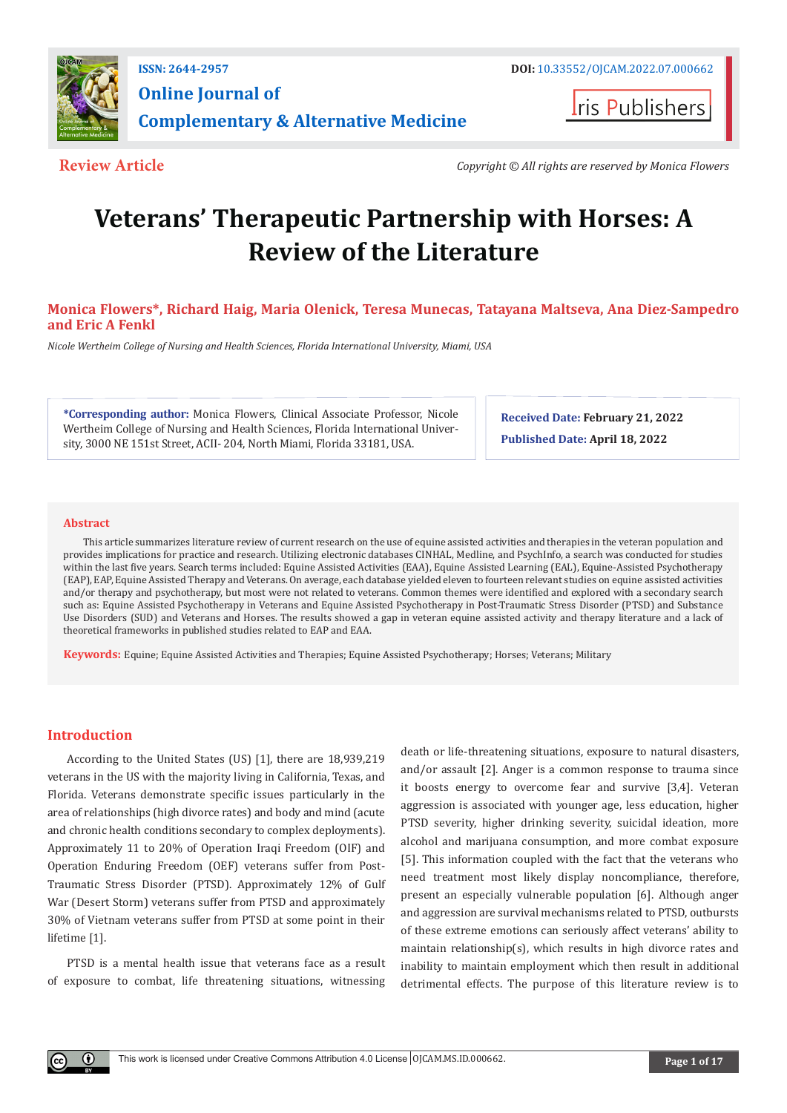

**Iris Publishers** 

**Review Article** *Copyright © All rights are reserved by Monica Flowers*

# **Veterans' Therapeutic Partnership with Horses: A Review of the Literature**

# **Monica Flowers\*, Richard Haig, Maria Olenick, Teresa Munecas, Tatayana Maltseva, Ana Diez-Sampedro and Eric A Fenkl**

*Nicole Wertheim College of Nursing and Health Sciences, Florida International University, Miami, USA*

**\*Corresponding author:** Monica Flowers, Clinical Associate Professor, Nicole Wertheim College of Nursing and Health Sciences, Florida International University, 3000 NE 151st Street, ACII- 204, North Miami, Florida 33181, USA.

**Received Date: February 21, 2022 Published Date: April 18, 2022**

#### **Abstract**

This article summarizes literature review of current research on the use of equine assisted activities and therapies in the veteran population and provides implications for practice and research. Utilizing electronic databases CINHAL, Medline, and PsychInfo, a search was conducted for studies within the last five years. Search terms included: Equine Assisted Activities (EAA), Equine Assisted Learning (EAL), Equine-Assisted Psychotherapy (EAP), EAP, Equine Assisted Therapy and Veterans. On average, each database yielded eleven to fourteen relevant studies on equine assisted activities and/or therapy and psychotherapy, but most were not related to veterans. Common themes were identified and explored with a secondary search such as: Equine Assisted Psychotherapy in Veterans and Equine Assisted Psychotherapy in Post-Traumatic Stress Disorder (PTSD) and Substance Use Disorders (SUD) and Veterans and Horses. The results showed a gap in veteran equine assisted activity and therapy literature and a lack of theoretical frameworks in published studies related to EAP and EAA.

**Keywords:** Equine; Equine Assisted Activities and Therapies; Equine Assisted Psychotherapy; Horses; Veterans; Military

# **Introduction**

Œ

According to the United States (US) [1], there are 18,939,219 veterans in the US with the majority living in California, Texas, and Florida. Veterans demonstrate specific issues particularly in the area of relationships (high divorce rates) and body and mind (acute and chronic health conditions secondary to complex deployments). Approximately 11 to 20% of Operation Iraqi Freedom (OIF) and Operation Enduring Freedom (OEF) veterans suffer from Post-Traumatic Stress Disorder (PTSD). Approximately 12% of Gulf War (Desert Storm) veterans suffer from PTSD and approximately 30% of Vietnam veterans suffer from PTSD at some point in their lifetime [1].

PTSD is a mental health issue that veterans face as a result of exposure to combat, life threatening situations, witnessing death or life-threatening situations, exposure to natural disasters, and/or assault [2]. Anger is a common response to trauma since it boosts energy to overcome fear and survive [3,4]. Veteran aggression is associated with younger age, less education, higher PTSD severity, higher drinking severity, suicidal ideation, more alcohol and marijuana consumption, and more combat exposure [5]. This information coupled with the fact that the veterans who need treatment most likely display noncompliance, therefore, present an especially vulnerable population [6]. Although anger and aggression are survival mechanisms related to PTSD, outbursts of these extreme emotions can seriously affect veterans' ability to maintain relationship(s), which results in high divorce rates and inability to maintain employment which then result in additional detrimental effects. The purpose of this literature review is to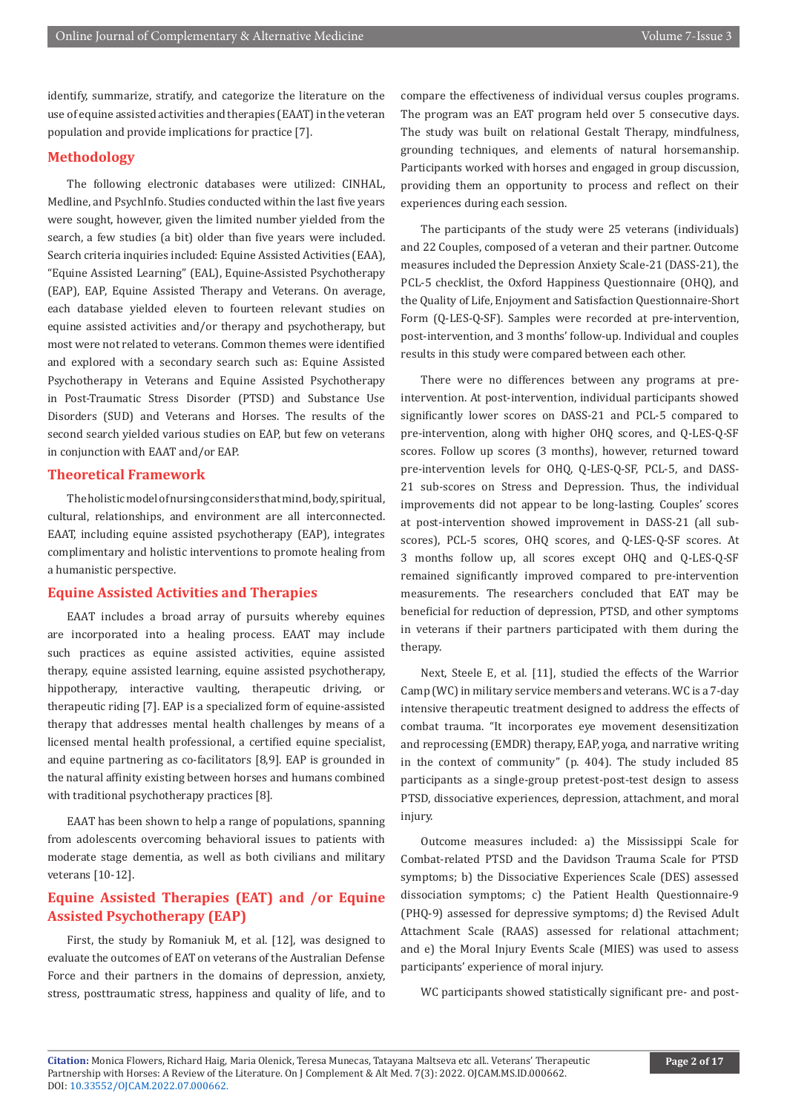identify, summarize, stratify, and categorize the literature on the use of equine assisted activities and therapies (EAAT) in the veteran population and provide implications for practice [7].

### **Methodology**

The following electronic databases were utilized: CINHAL, Medline, and PsychInfo. Studies conducted within the last five years were sought, however, given the limited number yielded from the search, a few studies (a bit) older than five years were included. Search criteria inquiries included: Equine Assisted Activities (EAA), "Equine Assisted Learning" (EAL), Equine-Assisted Psychotherapy (EAP), EAP, Equine Assisted Therapy and Veterans. On average, each database yielded eleven to fourteen relevant studies on equine assisted activities and/or therapy and psychotherapy, but most were not related to veterans. Common themes were identified and explored with a secondary search such as: Equine Assisted Psychotherapy in Veterans and Equine Assisted Psychotherapy in Post-Traumatic Stress Disorder (PTSD) and Substance Use Disorders (SUD) and Veterans and Horses. The results of the second search yielded various studies on EAP, but few on veterans in conjunction with EAAT and/or EAP.

# **Theoretical Framework**

The holistic model of nursing considers that mind, body, spiritual, cultural, relationships, and environment are all interconnected. EAAT, including equine assisted psychotherapy (EAP), integrates complimentary and holistic interventions to promote healing from a humanistic perspective.

# **Equine Assisted Activities and Therapies**

EAAT includes a broad array of pursuits whereby equines are incorporated into a healing process. EAAT may include such practices as equine assisted activities, equine assisted therapy, equine assisted learning, equine assisted psychotherapy, hippotherapy, interactive vaulting, therapeutic driving, or therapeutic riding [7]. EAP is a specialized form of equine-assisted therapy that addresses mental health challenges by means of a licensed mental health professional, a certified equine specialist, and equine partnering as co-facilitators [8,9]. EAP is grounded in the natural affinity existing between horses and humans combined with traditional psychotherapy practices [8].

EAAT has been shown to help a range of populations, spanning from adolescents overcoming behavioral issues to patients with moderate stage dementia, as well as both civilians and military veterans [10-12].

# **Equine Assisted Therapies (EAT) and /or Equine Assisted Psychotherapy (EAP)**

First, the study by Romaniuk M, et al. [12], was designed to evaluate the outcomes of EAT on veterans of the Australian Defense Force and their partners in the domains of depression, anxiety, stress, posttraumatic stress, happiness and quality of life, and to

compare the effectiveness of individual versus couples programs. The program was an EAT program held over 5 consecutive days. The study was built on relational Gestalt Therapy, mindfulness, grounding techniques, and elements of natural horsemanship. Participants worked with horses and engaged in group discussion, providing them an opportunity to process and reflect on their experiences during each session.

The participants of the study were 25 veterans (individuals) and 22 Couples, composed of a veteran and their partner. Outcome measures included the Depression Anxiety Scale-21 (DASS-21), the PCL-5 checklist, the Oxford Happiness Questionnaire (OHQ), and the Quality of Life, Enjoyment and Satisfaction Questionnaire-Short Form (Q-LES-Q-SF). Samples were recorded at pre-intervention, post-intervention, and 3 months' follow-up. Individual and couples results in this study were compared between each other.

There were no differences between any programs at preintervention. At post-intervention, individual participants showed significantly lower scores on DASS-21 and PCL-5 compared to pre-intervention, along with higher OHQ scores, and Q-LES-Q-SF scores. Follow up scores (3 months), however, returned toward pre-intervention levels for OHQ, Q-LES-Q-SF, PCL-5, and DASS-21 sub-scores on Stress and Depression. Thus, the individual improvements did not appear to be long-lasting. Couples' scores at post-intervention showed improvement in DASS-21 (all subscores), PCL-5 scores, OHQ scores, and Q-LES-Q-SF scores. At 3 months follow up, all scores except OHQ and Q-LES-Q-SF remained significantly improved compared to pre-intervention measurements. The researchers concluded that EAT may be beneficial for reduction of depression, PTSD, and other symptoms in veterans if their partners participated with them during the therapy.

Next, Steele E, et al. [11], studied the effects of the Warrior Camp (WC) in military service members and veterans. WC is a 7-day intensive therapeutic treatment designed to address the effects of combat trauma. "It incorporates eye movement desensitization and reprocessing (EMDR) therapy, EAP, yoga, and narrative writing in the context of community" (p. 404). The study included 85 participants as a single-group pretest-post-test design to assess PTSD, dissociative experiences, depression, attachment, and moral injury.

Outcome measures included: a) the Mississippi Scale for Combat-related PTSD and the Davidson Trauma Scale for PTSD symptoms; b) the Dissociative Experiences Scale (DES) assessed dissociation symptoms; c) the Patient Health Questionnaire-9 (PHQ-9) assessed for depressive symptoms; d) the Revised Adult Attachment Scale (RAAS) assessed for relational attachment; and e) the Moral Injury Events Scale (MIES) was used to assess participants' experience of moral injury.

WC participants showed statistically significant pre- and post-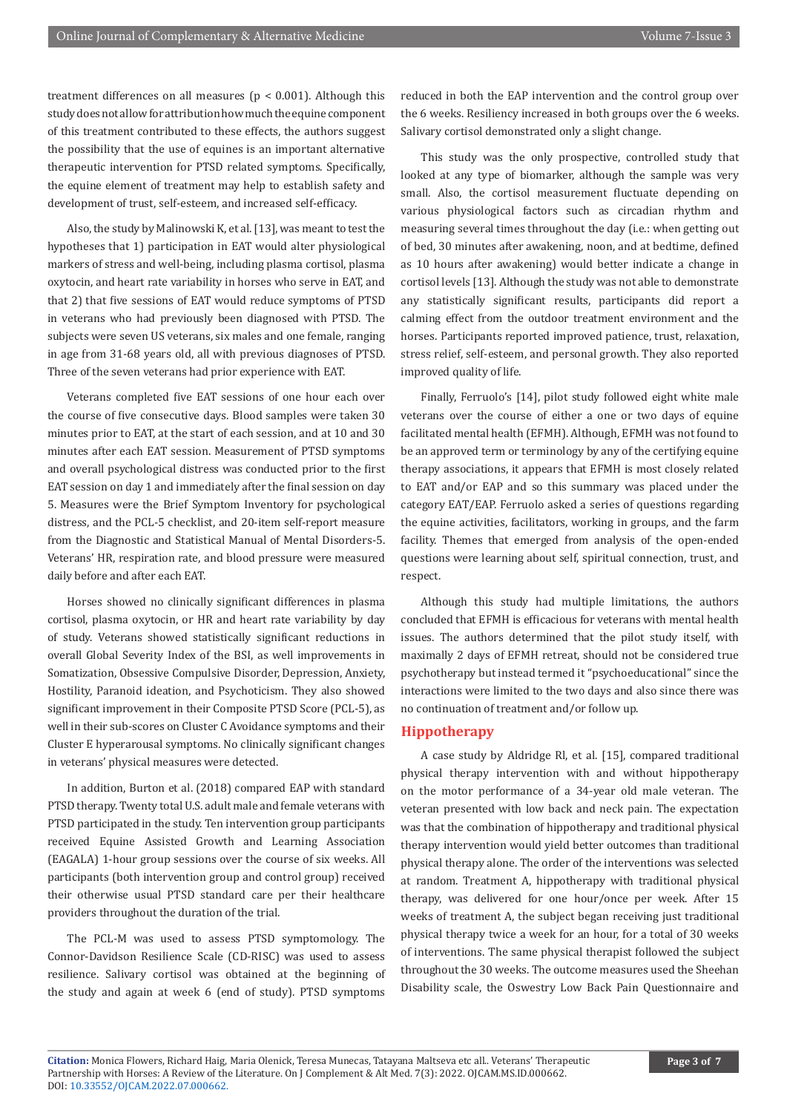treatment differences on all measures ( $p < 0.001$ ). Although this study does not allow for attribution how much the equine component of this treatment contributed to these effects, the authors suggest the possibility that the use of equines is an important alternative therapeutic intervention for PTSD related symptoms. Specifically, the equine element of treatment may help to establish safety and development of trust, self-esteem, and increased self-efficacy.

Also, the study by Malinowski K, et al. [13], was meant to test the hypotheses that 1) participation in EAT would alter physiological markers of stress and well-being, including plasma cortisol, plasma oxytocin, and heart rate variability in horses who serve in EAT, and that 2) that five sessions of EAT would reduce symptoms of PTSD in veterans who had previously been diagnosed with PTSD. The subjects were seven US veterans, six males and one female, ranging in age from 31-68 years old, all with previous diagnoses of PTSD. Three of the seven veterans had prior experience with EAT.

Veterans completed five EAT sessions of one hour each over the course of five consecutive days. Blood samples were taken 30 minutes prior to EAT, at the start of each session, and at 10 and 30 minutes after each EAT session. Measurement of PTSD symptoms and overall psychological distress was conducted prior to the first EAT session on day 1 and immediately after the final session on day 5. Measures were the Brief Symptom Inventory for psychological distress, and the PCL-5 checklist, and 20-item self-report measure from the Diagnostic and Statistical Manual of Mental Disorders-5. Veterans' HR, respiration rate, and blood pressure were measured daily before and after each EAT.

Horses showed no clinically significant differences in plasma cortisol, plasma oxytocin, or HR and heart rate variability by day of study. Veterans showed statistically significant reductions in overall Global Severity Index of the BSI, as well improvements in Somatization, Obsessive Compulsive Disorder, Depression, Anxiety, Hostility, Paranoid ideation, and Psychoticism. They also showed significant improvement in their Composite PTSD Score (PCL-5), as well in their sub-scores on Cluster C Avoidance symptoms and their Cluster E hyperarousal symptoms. No clinically significant changes in veterans' physical measures were detected.

In addition, Burton et al. (2018) compared EAP with standard PTSD therapy. Twenty total U.S. adult male and female veterans with PTSD participated in the study. Ten intervention group participants received Equine Assisted Growth and Learning Association (EAGALA) 1-hour group sessions over the course of six weeks. All participants (both intervention group and control group) received their otherwise usual PTSD standard care per their healthcare providers throughout the duration of the trial.

The PCL-M was used to assess PTSD symptomology. The Connor-Davidson Resilience Scale (CD-RISC) was used to assess resilience. Salivary cortisol was obtained at the beginning of the study and again at week 6 (end of study). PTSD symptoms

reduced in both the EAP intervention and the control group over the 6 weeks. Resiliency increased in both groups over the 6 weeks. Salivary cortisol demonstrated only a slight change.

This study was the only prospective, controlled study that looked at any type of biomarker, although the sample was very small. Also, the cortisol measurement fluctuate depending on various physiological factors such as circadian rhythm and measuring several times throughout the day (i.e.: when getting out of bed, 30 minutes after awakening, noon, and at bedtime, defined as 10 hours after awakening) would better indicate a change in cortisol levels [13]. Although the study was not able to demonstrate any statistically significant results, participants did report a calming effect from the outdoor treatment environment and the horses. Participants reported improved patience, trust, relaxation, stress relief, self-esteem, and personal growth. They also reported improved quality of life.

Finally, Ferruolo's [14], pilot study followed eight white male veterans over the course of either a one or two days of equine facilitated mental health (EFMH). Although, EFMH was not found to be an approved term or terminology by any of the certifying equine therapy associations, it appears that EFMH is most closely related to EAT and/or EAP and so this summary was placed under the category EAT/EAP. Ferruolo asked a series of questions regarding the equine activities, facilitators, working in groups, and the farm facility. Themes that emerged from analysis of the open-ended questions were learning about self, spiritual connection, trust, and respect.

Although this study had multiple limitations, the authors concluded that EFMH is efficacious for veterans with mental health issues. The authors determined that the pilot study itself, with maximally 2 days of EFMH retreat, should not be considered true psychotherapy but instead termed it "psychoeducational" since the interactions were limited to the two days and also since there was no continuation of treatment and/or follow up.

# **Hippotherapy**

A case study by Aldridge Rl, et al. [15], compared traditional physical therapy intervention with and without hippotherapy on the motor performance of a 34-year old male veteran. The veteran presented with low back and neck pain. The expectation was that the combination of hippotherapy and traditional physical therapy intervention would yield better outcomes than traditional physical therapy alone. The order of the interventions was selected at random. Treatment A, hippotherapy with traditional physical therapy, was delivered for one hour/once per week. After 15 weeks of treatment A, the subject began receiving just traditional physical therapy twice a week for an hour, for a total of 30 weeks of interventions. The same physical therapist followed the subject throughout the 30 weeks. The outcome measures used the Sheehan Disability scale, the Oswestry Low Back Pain Questionnaire and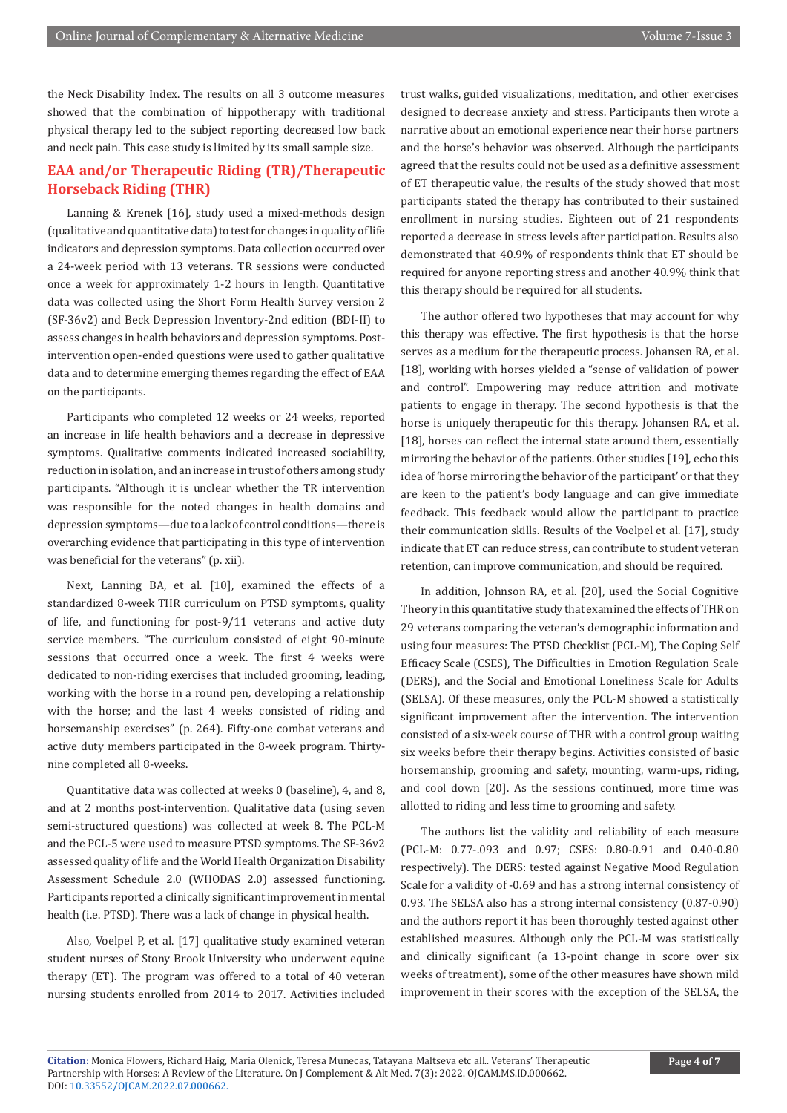the Neck Disability Index. The results on all 3 outcome measures showed that the combination of hippotherapy with traditional physical therapy led to the subject reporting decreased low back and neck pain. This case study is limited by its small sample size.

# **EAA and/or Therapeutic Riding (TR)/Therapeutic Horseback Riding (THR)**

Lanning & Krenek [16], study used a mixed-methods design (qualitative and quantitative data) to test for changes in quality of life indicators and depression symptoms. Data collection occurred over a 24-week period with 13 veterans. TR sessions were conducted once a week for approximately 1-2 hours in length. Quantitative data was collected using the Short Form Health Survey version 2 (SF-36v2) and Beck Depression Inventory-2nd edition (BDI-II) to assess changes in health behaviors and depression symptoms. Postintervention open-ended questions were used to gather qualitative data and to determine emerging themes regarding the effect of EAA on the participants.

Participants who completed 12 weeks or 24 weeks, reported an increase in life health behaviors and a decrease in depressive symptoms. Qualitative comments indicated increased sociability, reduction in isolation, and an increase in trust of others among study participants. "Although it is unclear whether the TR intervention was responsible for the noted changes in health domains and depression symptoms—due to a lack of control conditions—there is overarching evidence that participating in this type of intervention was beneficial for the veterans" (p. xii).

Next, Lanning BA, et al. [10], examined the effects of a standardized 8-week THR curriculum on PTSD symptoms, quality of life, and functioning for post-9/11 veterans and active duty service members. "The curriculum consisted of eight 90-minute sessions that occurred once a week. The first 4 weeks were dedicated to non-riding exercises that included grooming, leading, working with the horse in a round pen, developing a relationship with the horse; and the last 4 weeks consisted of riding and horsemanship exercises" (p. 264). Fifty-one combat veterans and active duty members participated in the 8-week program. Thirtynine completed all 8-weeks.

Quantitative data was collected at weeks 0 (baseline), 4, and 8, and at 2 months post-intervention. Qualitative data (using seven semi-structured questions) was collected at week 8. The PCL-M and the PCL-5 were used to measure PTSD symptoms. The SF-36v2 assessed quality of life and the World Health Organization Disability Assessment Schedule 2.0 (WHODAS 2.0) assessed functioning. Participants reported a clinically significant improvement in mental health (i.e. PTSD). There was a lack of change in physical health.

Also, Voelpel P, et al. [17] qualitative study examined veteran student nurses of Stony Brook University who underwent equine therapy (ET). The program was offered to a total of 40 veteran nursing students enrolled from 2014 to 2017. Activities included trust walks, guided visualizations, meditation, and other exercises designed to decrease anxiety and stress. Participants then wrote a narrative about an emotional experience near their horse partners and the horse's behavior was observed. Although the participants agreed that the results could not be used as a definitive assessment of ET therapeutic value, the results of the study showed that most participants stated the therapy has contributed to their sustained enrollment in nursing studies. Eighteen out of 21 respondents reported a decrease in stress levels after participation. Results also demonstrated that 40.9% of respondents think that ET should be required for anyone reporting stress and another 40.9% think that this therapy should be required for all students.

The author offered two hypotheses that may account for why this therapy was effective. The first hypothesis is that the horse serves as a medium for the therapeutic process. Johansen RA, et al. [18], working with horses yielded a "sense of validation of power and control". Empowering may reduce attrition and motivate patients to engage in therapy. The second hypothesis is that the horse is uniquely therapeutic for this therapy. Johansen RA, et al. [18], horses can reflect the internal state around them, essentially mirroring the behavior of the patients. Other studies [19], echo this idea of 'horse mirroring the behavior of the participant' or that they are keen to the patient's body language and can give immediate feedback. This feedback would allow the participant to practice their communication skills. Results of the Voelpel et al. [17], study indicate that ET can reduce stress, can contribute to student veteran retention, can improve communication, and should be required.

In addition, Johnson RA, et al. [20], used the Social Cognitive Theory in this quantitative study that examined the effects of THR on 29 veterans comparing the veteran's demographic information and using four measures: The PTSD Checklist (PCL-M), The Coping Self Efficacy Scale (CSES), The Difficulties in Emotion Regulation Scale (DERS), and the Social and Emotional Loneliness Scale for Adults (SELSA). Of these measures, only the PCL-M showed a statistically significant improvement after the intervention. The intervention consisted of a six-week course of THR with a control group waiting six weeks before their therapy begins. Activities consisted of basic horsemanship, grooming and safety, mounting, warm-ups, riding, and cool down [20]. As the sessions continued, more time was allotted to riding and less time to grooming and safety.

The authors list the validity and reliability of each measure (PCL-M: 0.77-.093 and 0.97; CSES: 0.80-0.91 and 0.40-0.80 respectively). The DERS: tested against Negative Mood Regulation Scale for a validity of -0.69 and has a strong internal consistency of 0.93. The SELSA also has a strong internal consistency (0.87-0.90) and the authors report it has been thoroughly tested against other established measures. Although only the PCL-M was statistically and clinically significant (a 13-point change in score over six weeks of treatment), some of the other measures have shown mild improvement in their scores with the exception of the SELSA, the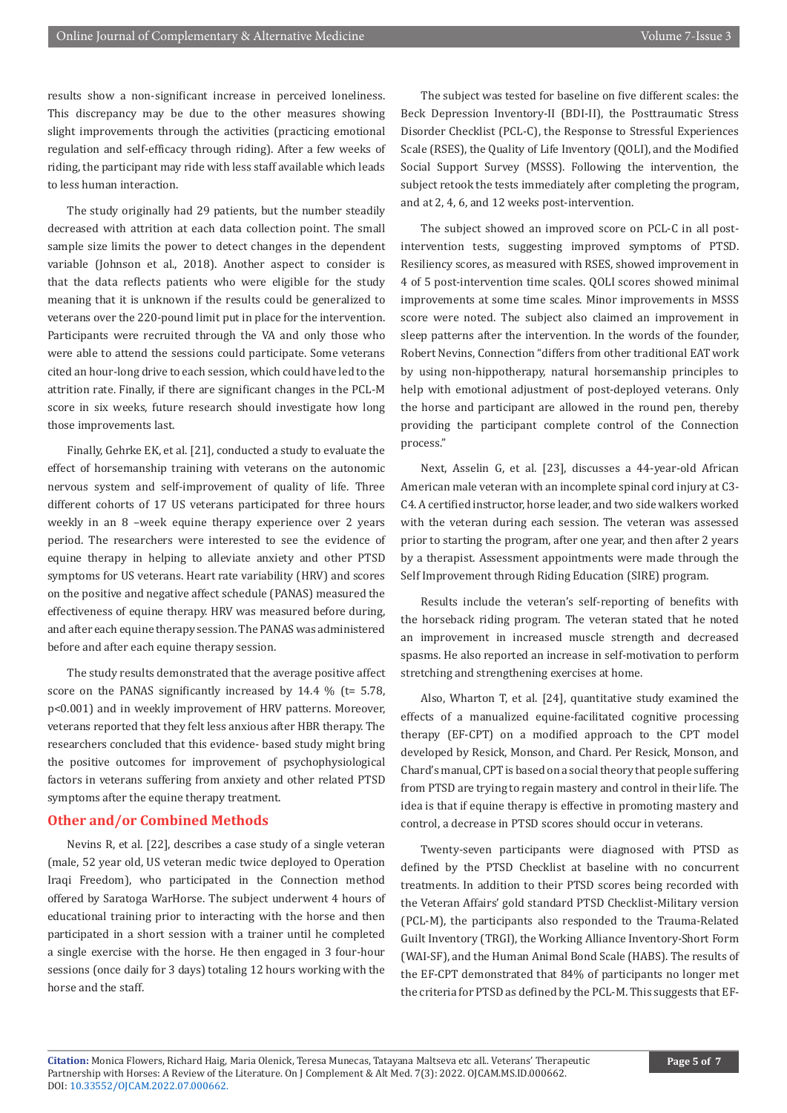results show a non-significant increase in perceived loneliness. This discrepancy may be due to the other measures showing slight improvements through the activities (practicing emotional regulation and self-efficacy through riding). After a few weeks of riding, the participant may ride with less staff available which leads to less human interaction.

The study originally had 29 patients, but the number steadily decreased with attrition at each data collection point. The small sample size limits the power to detect changes in the dependent variable (Johnson et al., 2018). Another aspect to consider is that the data reflects patients who were eligible for the study meaning that it is unknown if the results could be generalized to veterans over the 220-pound limit put in place for the intervention. Participants were recruited through the VA and only those who were able to attend the sessions could participate. Some veterans cited an hour-long drive to each session, which could have led to the attrition rate. Finally, if there are significant changes in the PCL-M score in six weeks, future research should investigate how long those improvements last.

Finally, Gehrke EK, et al. [21], conducted a study to evaluate the effect of horsemanship training with veterans on the autonomic nervous system and self-improvement of quality of life. Three different cohorts of 17 US veterans participated for three hours weekly in an 8 –week equine therapy experience over 2 years period. The researchers were interested to see the evidence of equine therapy in helping to alleviate anxiety and other PTSD symptoms for US veterans. Heart rate variability (HRV) and scores on the positive and negative affect schedule (PANAS) measured the effectiveness of equine therapy. HRV was measured before during, and after each equine therapy session. The PANAS was administered before and after each equine therapy session.

The study results demonstrated that the average positive affect score on the PANAS significantly increased by 14.4 % (t= 5.78, p<0.001) and in weekly improvement of HRV patterns. Moreover, veterans reported that they felt less anxious after HBR therapy. The researchers concluded that this evidence- based study might bring the positive outcomes for improvement of psychophysiological factors in veterans suffering from anxiety and other related PTSD symptoms after the equine therapy treatment.

# **Other and/or Combined Methods**

Nevins R, et al. [22], describes a case study of a single veteran (male, 52 year old, US veteran medic twice deployed to Operation Iraqi Freedom), who participated in the Connection method offered by Saratoga WarHorse. The subject underwent 4 hours of educational training prior to interacting with the horse and then participated in a short session with a trainer until he completed a single exercise with the horse. He then engaged in 3 four-hour sessions (once daily for 3 days) totaling 12 hours working with the horse and the staff.

The subject was tested for baseline on five different scales: the Beck Depression Inventory-II (BDI-II), the Posttraumatic Stress Disorder Checklist (PCL-C), the Response to Stressful Experiences Scale (RSES), the Quality of Life Inventory (QOLI), and the Modified Social Support Survey (MSSS). Following the intervention, the subject retook the tests immediately after completing the program, and at 2, 4, 6, and 12 weeks post-intervention.

The subject showed an improved score on PCL-C in all postintervention tests, suggesting improved symptoms of PTSD. Resiliency scores, as measured with RSES, showed improvement in 4 of 5 post-intervention time scales. QOLI scores showed minimal improvements at some time scales. Minor improvements in MSSS score were noted. The subject also claimed an improvement in sleep patterns after the intervention. In the words of the founder, Robert Nevins, Connection "differs from other traditional EAT work by using non-hippotherapy, natural horsemanship principles to help with emotional adjustment of post-deployed veterans. Only the horse and participant are allowed in the round pen, thereby providing the participant complete control of the Connection process."

Next, Asselin G, et al. [23], discusses a 44-year-old African American male veteran with an incomplete spinal cord injury at C3- C4. A certified instructor, horse leader, and two side walkers worked with the veteran during each session. The veteran was assessed prior to starting the program, after one year, and then after 2 years by a therapist. Assessment appointments were made through the Self Improvement through Riding Education (SIRE) program.

Results include the veteran's self-reporting of benefits with the horseback riding program. The veteran stated that he noted an improvement in increased muscle strength and decreased spasms. He also reported an increase in self-motivation to perform stretching and strengthening exercises at home.

Also, Wharton T, et al. [24], quantitative study examined the effects of a manualized equine-facilitated cognitive processing therapy (EF-CPT) on a modified approach to the CPT model developed by Resick, Monson, and Chard. Per Resick, Monson, and Chard's manual, CPT is based on a social theory that people suffering from PTSD are trying to regain mastery and control in their life. The idea is that if equine therapy is effective in promoting mastery and control, a decrease in PTSD scores should occur in veterans.

Twenty-seven participants were diagnosed with PTSD as defined by the PTSD Checklist at baseline with no concurrent treatments. In addition to their PTSD scores being recorded with the Veteran Affairs' gold standard PTSD Checklist-Military version (PCL-M), the participants also responded to the Trauma-Related Guilt Inventory (TRGI), the Working Alliance Inventory-Short Form (WAI-SF), and the Human Animal Bond Scale (HABS). The results of the EF-CPT demonstrated that 84% of participants no longer met the criteria for PTSD as defined by the PCL-M. This suggests that EF-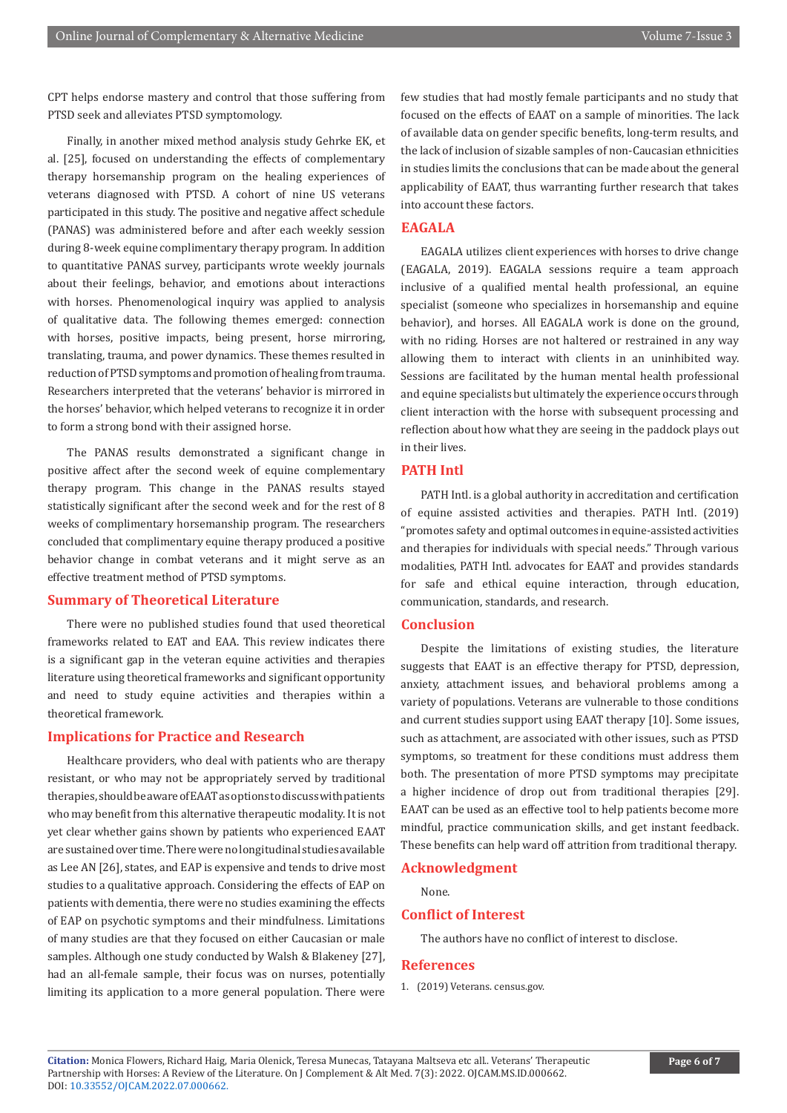CPT helps endorse mastery and control that those suffering from PTSD seek and alleviates PTSD symptomology.

Finally, in another mixed method analysis study Gehrke EK, et al. [25], focused on understanding the effects of complementary therapy horsemanship program on the healing experiences of veterans diagnosed with PTSD. A cohort of nine US veterans participated in this study. The positive and negative affect schedule (PANAS) was administered before and after each weekly session during 8-week equine complimentary therapy program. In addition to quantitative PANAS survey, participants wrote weekly journals about their feelings, behavior, and emotions about interactions with horses. Phenomenological inquiry was applied to analysis of qualitative data. The following themes emerged: connection with horses, positive impacts, being present, horse mirroring, translating, trauma, and power dynamics. These themes resulted in reduction of PTSD symptoms and promotion of healing from trauma. Researchers interpreted that the veterans' behavior is mirrored in the horses' behavior, which helped veterans to recognize it in order to form a strong bond with their assigned horse.

The PANAS results demonstrated a significant change in positive affect after the second week of equine complementary therapy program. This change in the PANAS results stayed statistically significant after the second week and for the rest of 8 weeks of complimentary horsemanship program. The researchers concluded that complimentary equine therapy produced a positive behavior change in combat veterans and it might serve as an effective treatment method of PTSD symptoms.

# **Summary of Theoretical Literature**

There were no published studies found that used theoretical frameworks related to EAT and EAA. This review indicates there is a significant gap in the veteran equine activities and therapies literature using theoretical frameworks and significant opportunity and need to study equine activities and therapies within a theoretical framework.

### **Implications for Practice and Research**

Healthcare providers, who deal with patients who are therapy resistant, or who may not be appropriately served by traditional therapies, should be aware of EAAT as options to discuss with patients who may benefit from this alternative therapeutic modality. It is not yet clear whether gains shown by patients who experienced EAAT are sustained over time. There were no longitudinal studies available as Lee AN [26], states, and EAP is expensive and tends to drive most studies to a qualitative approach. Considering the effects of EAP on patients with dementia, there were no studies examining the effects of EAP on psychotic symptoms and their mindfulness. Limitations of many studies are that they focused on either Caucasian or male samples. Although one study conducted by Walsh & Blakeney [27], had an all-female sample, their focus was on nurses, potentially limiting its application to a more general population. There were

few studies that had mostly female participants and no study that focused on the effects of EAAT on a sample of minorities. The lack of available data on gender specific benefits, long-term results, and the lack of inclusion of sizable samples of non-Caucasian ethnicities in studies limits the conclusions that can be made about the general applicability of EAAT, thus warranting further research that takes into account these factors.

#### **EAGALA**

EAGALA utilizes client experiences with horses to drive change (EAGALA, 2019). EAGALA sessions require a team approach inclusive of a qualified mental health professional, an equine specialist (someone who specializes in horsemanship and equine behavior), and horses. All EAGALA work is done on the ground, with no riding. Horses are not haltered or restrained in any way allowing them to interact with clients in an uninhibited way. Sessions are facilitated by the human mental health professional and equine specialists but ultimately the experience occurs through client interaction with the horse with subsequent processing and reflection about how what they are seeing in the paddock plays out in their lives.

# **PATH Intl**

PATH Intl. is a global authority in accreditation and certification of equine assisted activities and therapies. PATH Intl. (2019) "promotes safety and optimal outcomes in equine-assisted activities and therapies for individuals with special needs." Through various modalities, PATH Intl. advocates for EAAT and provides standards for safe and ethical equine interaction, through education, communication, standards, and research.

### **Conclusion**

Despite the limitations of existing studies, the literature suggests that EAAT is an effective therapy for PTSD, depression, anxiety, attachment issues, and behavioral problems among a variety of populations. Veterans are vulnerable to those conditions and current studies support using EAAT therapy [10]. Some issues, such as attachment, are associated with other issues, such as PTSD symptoms, so treatment for these conditions must address them both. The presentation of more PTSD symptoms may precipitate a higher incidence of drop out from traditional therapies [29]. EAAT can be used as an effective tool to help patients become more mindful, practice communication skills, and get instant feedback. These benefits can help ward off attrition from traditional therapy.

#### **Acknowledgment**

None.

#### **Conflict of Interest**

The authors have no conflict of interest to disclose.

# **References**

1. [\(2019\) Veterans. census.gov.](https://www.census.gov/search-results.html?q=us+veterans&page=1&stateGeo=none&searchtype=web&cssp=SERP&_charset_=UTF-8)